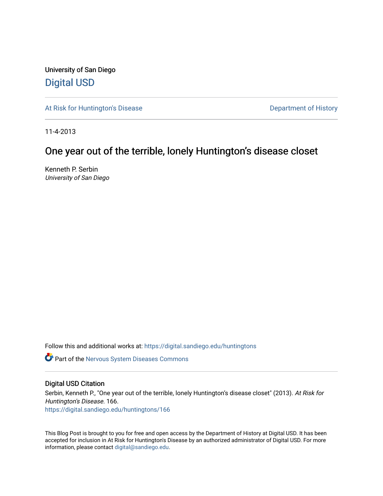University of San Diego [Digital USD](https://digital.sandiego.edu/)

[At Risk for Huntington's Disease](https://digital.sandiego.edu/huntingtons) **Department of History** Department of History

11-4-2013

## One year out of the terrible, lonely Huntington's disease closet

Kenneth P. Serbin University of San Diego

Follow this and additional works at: [https://digital.sandiego.edu/huntingtons](https://digital.sandiego.edu/huntingtons?utm_source=digital.sandiego.edu%2Fhuntingtons%2F166&utm_medium=PDF&utm_campaign=PDFCoverPages)

**C** Part of the [Nervous System Diseases Commons](http://network.bepress.com/hgg/discipline/928?utm_source=digital.sandiego.edu%2Fhuntingtons%2F166&utm_medium=PDF&utm_campaign=PDFCoverPages)

### Digital USD Citation

Serbin, Kenneth P., "One year out of the terrible, lonely Huntington's disease closet" (2013). At Risk for Huntington's Disease. 166. [https://digital.sandiego.edu/huntingtons/166](https://digital.sandiego.edu/huntingtons/166?utm_source=digital.sandiego.edu%2Fhuntingtons%2F166&utm_medium=PDF&utm_campaign=PDFCoverPages)

This Blog Post is brought to you for free and open access by the Department of History at Digital USD. It has been accepted for inclusion in At Risk for Huntington's Disease by an authorized administrator of Digital USD. For more information, please contact [digital@sandiego.edu.](mailto:digital@sandiego.edu)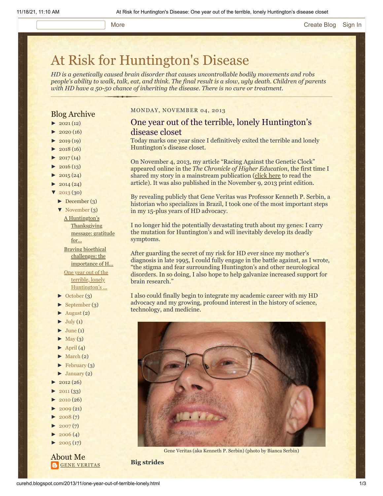# [At Risk for Huntington's Disease](http://curehd.blogspot.com/)

*HD is a genetically caused brain disorder that causes uncontrollable bodily movements and robs people's ability to walk, talk, eat, and think. The final result is a slow, ugly death. Children of parents with HD have a 50-50 chance of inheriting the disease. There is no cure or treatment.*

### Blog Archive

- $\blacktriangleright$  [2021](http://curehd.blogspot.com/2021/) (12)
- $2020(16)$  $2020(16)$
- $2019(19)$  $2019(19)$
- $2018(16)$  $2018(16)$
- $2017(14)$  $2017(14)$
- $2016(13)$  $2016(13)$
- $2015(24)$  $2015(24)$
- $2014(24)$  $2014(24)$
- $2013(30)$  $2013(30)$
- [►](javascript:void(0)) [December](http://curehd.blogspot.com/2013/12/) (3)
- [▼](javascript:void(0)) [November](http://curehd.blogspot.com/2013/11/) (3) A Huntington's

**[Thanksgiving](http://curehd.blogspot.com/2013/11/a-huntingtons-thanksgiving-message.html)** message: gratitude for...

Braving bioethical challenges: the [importance](http://curehd.blogspot.com/2013/11/braving-bioethical-challenges.html) of H... One year out of the terrible, lonely

- [Huntington's](http://curehd.blogspot.com/2013/11/one-year-out-of-terrible-lonely.html) ...
- [►](javascript:void(0)) [October](http://curehd.blogspot.com/2013/10/) (3)
- [►](javascript:void(0)) [September](http://curehd.blogspot.com/2013/09/) (3)
- $\blacktriangleright$  [August](http://curehd.blogspot.com/2013/08/) (2)
- $\blacktriangleright$  [July](http://curehd.blogspot.com/2013/07/) (1)
- $June (1)$  $June (1)$
- $\blacktriangleright$  [May](http://curehd.blogspot.com/2013/05/) (3)
- $\blacktriangleright$  [April](http://curehd.blogspot.com/2013/04/) (4)
- $\blacktriangleright$  [March](http://curehd.blogspot.com/2013/03/) (2)
- $\blacktriangleright$  [February](http://curehd.blogspot.com/2013/02/) (3)
- $\blacktriangleright$  [January](http://curehd.blogspot.com/2013/01/) (2)
- $2012(26)$  $2012(26)$
- $2011(33)$  $2011(33)$
- [►](javascript:void(0)) [2010](http://curehd.blogspot.com/2010/) (26)
- $\blacktriangleright$  [2009](http://curehd.blogspot.com/2009/) (21)
- $2008(7)$  $2008(7)$
- $2007(7)$  $2007(7)$
- $2006(4)$  $2006(4)$
- $2005(17)$  $2005(17)$

About Me **GENE [VERITAS](https://www.blogger.com/profile/10911736205741688185)** 

#### MONDAY, NOVEMBER 04, 2013

### One year out of the terrible, lonely Huntington's disease closet

Today marks one year since I definitively exited the terrible and lonely Huntington's disease closet.

On November 4, 2013, my article "Racing Against the Genetic Clock" appeared online in the *The Chronicle of Higher Education*, the first time I shared my story in a mainstream publication ([click here](http://chronicle.com/article/Racing-Against-the-Genetic/135542/) to read the article). It was also published in the November 9, 2013 print edition.

By revealing publicly that Gene Veritas was Professor Kenneth P. Serbin, a historian who specializes in Brazil, I took one of the most important steps in my 15-plus years of HD advocacy.

I no longer hid the potentially devastating truth about my genes: I carry the mutation for Huntington's and will inevitably develop its deadly symptoms.

After guarding the secret of my risk for HD ever since my mother's diagnosis in late 1995, I could fully engage in the battle against, as I wrote, "the stigma and fear surrounding Huntington's and other neurological disorders. In so doing, I also hope to help galvanize increased support for brain research."

I also could finally begin to integrate my academic career with my HD advocacy and my growing, profound interest in the history of science, technology, and medicine.



Gene Veritas (aka Kenneth P. Serbin) (photo by Bianca Serbin)

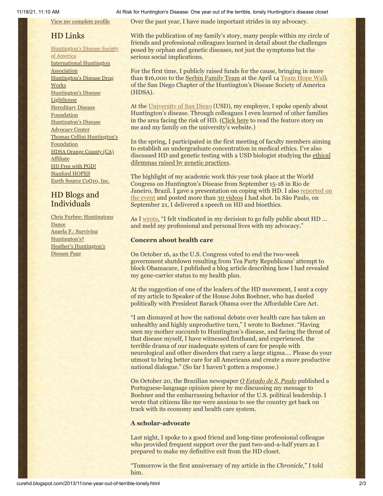View my [complete](https://www.blogger.com/profile/10911736205741688185) profile

### HD Links

[Huntington's](http://www.hdsa.org/) Disease Society of America [International](http://www.huntington-assoc.com/) Huntington **Association** [Huntington's](http://hddrugworks.org/) Disease Drug **Works** [Huntington's](http://www.hdlighthouse.org/) Disease **Lighthouse Hereditary Disease [Foundation](http://www.hdfoundation.org/)** [Huntington's](http://www.hdac.org/) Disease Advocacy Center Thomas [Cellini Huntington's](http://www.ourtchfoundation.org/) **Foundation** HDSA Orange County (CA) [Affiliate](http://www.hdsaoc.org/) HD Free with [PGD!](http://www.hdfreewithpgd.com/) [Stanford](http://www.stanford.edu/group/hopes/) HOPES Earth Source [CoQ10,](http://www.escoq10.com/) Inc.

### HD Blogs and Individuals

Chris Furbee: [Huntingtons](http://www.huntingtonsdance.org/) **Dance** Angela F.: Surviving [Huntington's?](http://survivinghuntingtons.blogspot.com/) Heather's [Huntington's](http://heatherdugdale.angelfire.com/) Disease Page

11/18/21, 11:10 AM At Risk for Huntington's Disease: One year out of the terrible, lonely Huntington's disease closet

Over the past year, I have made important strides in my advocacy.

With the publication of my family's story, many people within my circle of friends and professional colleagues learned in detail about the challenges posed by orphan and genetic diseases, not just the symptoms but the serious social implications.

For the first time, I publicly raised funds for the cause, bringing in more than \$16,000 to the [Serbin Family Team](http://www.firstgiving.com/fundraiser/serbinfamily/thwsd2013) at the April 14 [Team Hope Walk](http://curehd.blogspot.com/2013/04/feeling-hope.html) of the San Diego Chapter of the Huntington's Disease Society of America (HDSA).

At the [University of San Diego](http://www.sandiego.edu/) (USD), my employer, I spoke openly about Huntington's disease. Through colleagues I even learned of other families in the area facing the risk of HD. [\(Click here](http://www.sandiego.edu/cas/news_events/feature_stories/kenneth_serbin.php) to read the feature story on me and my family on the university's website.)

In the spring, I participated in the first meeting of faculty members aiming to establish an undergraduate concentration in medical ethics. I've also [discussed HD and genetic testing with a USD biologist](http://www.nature.com/scitable/forums/genetics-generation) studying the ethical dilemmas raised by genetic practices.

The highlight of my academic work this year took place at the World Congress on Huntington's Disease from September 15-18 in Rio de [Janeiro, Brazil. I gave a presentation on coping with HD. I also reported on](http://curehd.blogspot.com/2013/10/hope-cutting-edge-science-and-poignant.html) the event and posted more than [30 videos](http://vimeo.com/album/2556826) I had shot. In São Paulo, on September 21, I delivered a speech on HD and bioethics.

As I [wrote](http://curehd.blogspot.com/2013/09/reaching-out-to-hd-family-at-world.html), "I felt vindicated in my decision to go fully public about HD ... and meld my professional and personal lives with my advocacy."

### **Concern about health care**

On October 16, as the U.S. Congress voted to end the two-week government shutdown resulting from Tea Party Republicans' attempt to block Obamacare, I published a blog article describing how I had revealed my gene-carrier status to my health plan.

At the suggestion of one of the leaders of the HD movement, I sent a copy of my article to Speaker of the House John Boehner, who has dueled politically with President Barack Obama over the Affordable Care Act.

"I am dismayed at how the national debate over health care has taken an unhealthy and highly unproductive turn," I wrote to Boehner. "Having seen my mother succumb to Huntington's disease, and facing the threat of that disease myself, I have witnessed firsthand, and experienced, the terrible drama of our inadequate system of care for people with neurological and other disorders that carry a large stigma…. Please do your utmost to bring better care for all Americans and create a more productive national dialogue." (So far I haven't gotten a response.)

On October 20, the Brazilian newspaper *[O Estado de S. Paulo](http://www.estadao.com.br/noticias/suplementos,palhacada-americana,1087547,0.htm)* published a Portuguese-language opinion piece by me discussing my message to Boehner and the embarrassing behavior of the U.S. political leadership. I wrote that citizens like me were anxious to see the country get back on track with its economy and health care system.

#### **A scholar-advocate**

Last night, I spoke to a good friend and long-time professional colleague who provided frequent support over the past two-and-a-half years as I prepared to make my definitive exit from the HD closet.

"Tomorrow is the first anniversary of my article in the *Chronicle*," I told him.